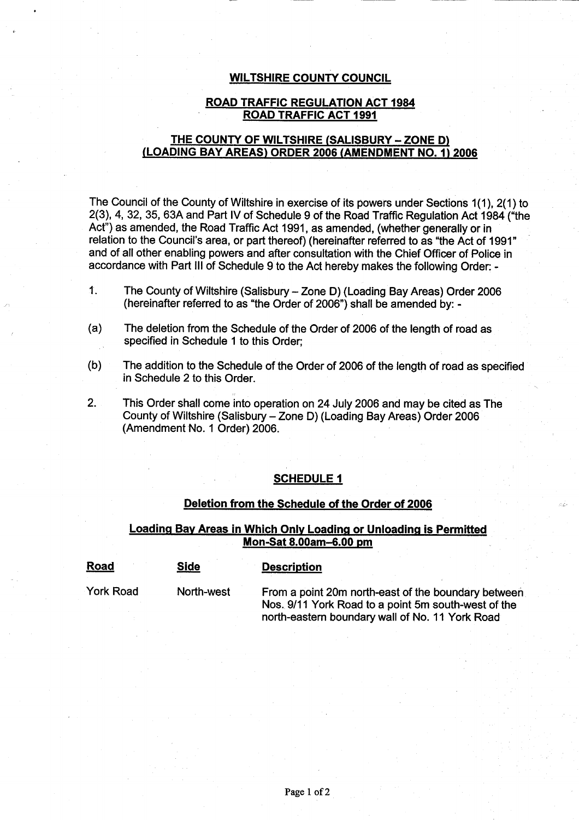#### **WILTSHIRE** COUNTY COUNCIL

#### **ROAD** TRAFFIC **REGULATION ACT 1984 ROAD TRAFFIC ACT 1991**

## THE COUNTY **OF WILTSHIRE** (**SALISBURY** - **ZONE D) (LOADING BAY AREAS** ) **ORDER 2006** (**AMENDMENT NO. 1)2006**

The Council of the County of Wiltshire in exercise of its powers under Sections 1(1), 2(1) to 2(3), 4, 32, 35, 63A and Part IV of Schedule 9 of the Road Traffic **Regulation** Act 1984 ("the Act") as amended, the Road Traffic Act 1991 **, as amended** , (whether generally or in relation to the Council'**s area**, or part thereof) (hereinafter referred to as "the Act of 1991 and of all other enabling powers and after consultation with the Chief Officer of Police in accordance with Part III of Schedule 9 to the Act hereby makes the following Order. -

- 1. The County of Wiltshire (Salisbury Zone D) (Loading Bay Areas) Order 2006 (hereinafter referred to as "the Order of 2006") shall be amended by: -
- (a) The deletion from the Schedule of the Order of 2006 of the length of road as specified in Schedule 1 to this Order;
- (b) The addition to the Schedule of the Order of 2006 of the length of road as specified in Schedule 2 to this Order.
- 2. This Order shall come into operation on 24 July 2006 and may be cited as The County of Wiltshire (Salisbury - Zone D) (Loading Bay Areas) Order 2006 (Amendment No. 1 Order) 2006.

## **SCHEDULE 1**

#### **Deletion from the Schedule of the Order of 2006**

## **Loading Bay Areas in Which Only Loading or Unloading is Permitted Mon-Sat 8**.**00am**-**6.00 pm**

| <b>Road</b> | <b>Side</b> | <b>Description</b>                                                                                                                                            |
|-------------|-------------|---------------------------------------------------------------------------------------------------------------------------------------------------------------|
| York Road   | North-west  | From a point 20m north-east of the boundary between<br>Nos. 9/11 York Road to a point 5m south-west of the<br>north-eastern boundary wall of No. 11 York Road |